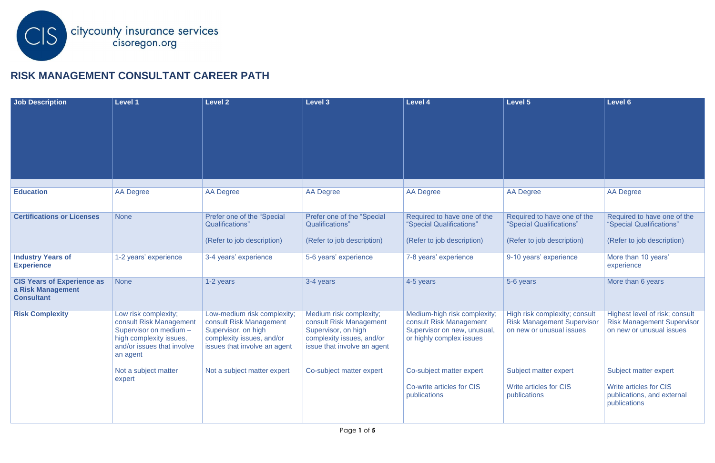

## **RISK MANAGEMENT CONSULTANT CAREER PATH**

| <b>Job Description</b>                 | <b>Level 1</b>                                        | <b>Level 2</b>                                            | Level 3                                                  | <b>Level 4</b>                                          | Level 5                                                            | Level 6                                                             |
|----------------------------------------|-------------------------------------------------------|-----------------------------------------------------------|----------------------------------------------------------|---------------------------------------------------------|--------------------------------------------------------------------|---------------------------------------------------------------------|
|                                        |                                                       |                                                           |                                                          |                                                         |                                                                    |                                                                     |
|                                        |                                                       |                                                           |                                                          |                                                         |                                                                    |                                                                     |
|                                        |                                                       |                                                           |                                                          |                                                         |                                                                    |                                                                     |
|                                        |                                                       |                                                           |                                                          |                                                         |                                                                    |                                                                     |
|                                        |                                                       |                                                           |                                                          |                                                         |                                                                    |                                                                     |
|                                        |                                                       |                                                           |                                                          |                                                         |                                                                    |                                                                     |
| <b>Education</b>                       | <b>AA Degree</b>                                      | <b>AA Degree</b>                                          | <b>AA Degree</b>                                         | <b>AA Degree</b>                                        | <b>AA Degree</b>                                                   | <b>AA Degree</b>                                                    |
|                                        |                                                       |                                                           |                                                          |                                                         |                                                                    |                                                                     |
| <b>Certifications or Licenses</b>      | <b>None</b>                                           | Prefer one of the "Special                                | Prefer one of the "Special                               | Required to have one of the                             | Required to have one of the                                        | Required to have one of the                                         |
|                                        |                                                       | Qualifications"                                           | Qualifications"                                          | "Special Qualifications"                                | "Special Qualifications"                                           | "Special Qualifications"                                            |
|                                        |                                                       | (Refer to job description)                                | (Refer to job description)                               | (Refer to job description)                              | (Refer to job description)                                         | (Refer to job description)                                          |
| <b>Industry Years of</b>               | 1-2 years' experience                                 | 3-4 years' experience                                     | 5-6 years' experience                                    | 7-8 years' experience                                   | 9-10 years' experience                                             | More than 10 years'                                                 |
| <b>Experience</b>                      |                                                       |                                                           |                                                          |                                                         |                                                                    | experience                                                          |
| <b>CIS Years of Experience as</b>      | <b>None</b>                                           | 1-2 years                                                 | 3-4 years                                                | 4-5 years                                               | 5-6 years                                                          | More than 6 years                                                   |
| a Risk Management<br><b>Consultant</b> |                                                       |                                                           |                                                          |                                                         |                                                                    |                                                                     |
|                                        |                                                       |                                                           |                                                          |                                                         |                                                                    |                                                                     |
| <b>Risk Complexity</b>                 | Low risk complexity;<br>consult Risk Management       | Low-medium risk complexity;<br>consult Risk Management    | Medium risk complexity;<br>consult Risk Management       | Medium-high risk complexity;<br>consult Risk Management | High risk complexity; consult<br><b>Risk Management Supervisor</b> | Highest level of risk; consult<br><b>Risk Management Supervisor</b> |
|                                        | Supervisor on medium -                                | Supervisor, on high                                       | Supervisor, on high                                      | Supervisor on new, unusual,                             | on new or unusual issues                                           | on new or unusual issues                                            |
|                                        | high complexity issues,<br>and/or issues that involve | complexity issues, and/or<br>issues that involve an agent | complexity issues, and/or<br>issue that involve an agent | or highly complex issues                                |                                                                    |                                                                     |
|                                        | an agent                                              |                                                           |                                                          |                                                         |                                                                    |                                                                     |
|                                        | Not a subject matter                                  | Not a subject matter expert                               | Co-subject matter expert                                 | Co-subject matter expert                                | Subject matter expert                                              | Subject matter expert                                               |
|                                        | expert                                                |                                                           |                                                          |                                                         |                                                                    |                                                                     |
|                                        |                                                       |                                                           |                                                          | Co-write articles for CIS<br>publications               | Write articles for CIS<br>publications                             | <b>Write articles for CIS</b><br>publications, and external         |
|                                        |                                                       |                                                           |                                                          |                                                         |                                                                    | publications                                                        |
|                                        |                                                       |                                                           |                                                          |                                                         |                                                                    |                                                                     |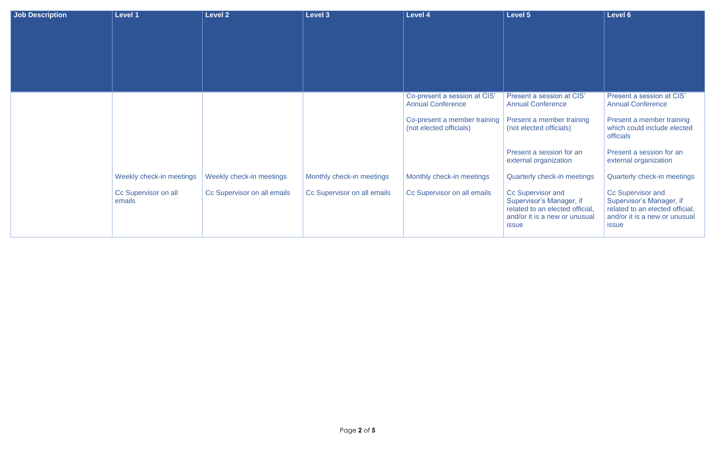| Job Description | Level 1                        | <b>Level 2</b>              | Level 3                     | <b>Level 4</b>                                           | <b>Level 5</b>                                                                                                                    | Level 6                                                                                                                           |
|-----------------|--------------------------------|-----------------------------|-----------------------------|----------------------------------------------------------|-----------------------------------------------------------------------------------------------------------------------------------|-----------------------------------------------------------------------------------------------------------------------------------|
|                 |                                |                             |                             |                                                          |                                                                                                                                   |                                                                                                                                   |
|                 |                                |                             |                             |                                                          |                                                                                                                                   |                                                                                                                                   |
|                 |                                |                             |                             |                                                          |                                                                                                                                   |                                                                                                                                   |
|                 |                                |                             |                             |                                                          |                                                                                                                                   |                                                                                                                                   |
|                 |                                |                             |                             |                                                          |                                                                                                                                   |                                                                                                                                   |
|                 |                                |                             |                             | Co-present a session at CIS'<br><b>Annual Conference</b> | Present a session at CIS'<br><b>Annual Conference</b>                                                                             | Present a session at CIS'<br><b>Annual Conference</b>                                                                             |
|                 |                                |                             |                             | Co-present a member training<br>(not elected officials)  | Present a member training<br>(not elected officials)                                                                              | Present a member training<br>which could include elected<br><b>officials</b>                                                      |
|                 |                                |                             |                             |                                                          | Present a session for an<br>external organization                                                                                 | Present a session for an<br>external organization                                                                                 |
|                 | Weekly check-in meetings       | Weekly check-in meetings    | Monthly check-in meetings   | Monthly check-in meetings                                | Quarterly check-in meetings                                                                                                       | Quarterly check-in meetings                                                                                                       |
|                 | Cc Supervisor on all<br>emails | Cc Supervisor on all emails | Cc Supervisor on all emails | Cc Supervisor on all emails                              | Cc Supervisor and<br>Supervisor's Manager, if<br>related to an elected official,<br>and/or it is a new or unusual<br><i>issue</i> | Cc Supervisor and<br>Supervisor's Manager, if<br>related to an elected official,<br>and/or it is a new or unusual<br><i>issue</i> |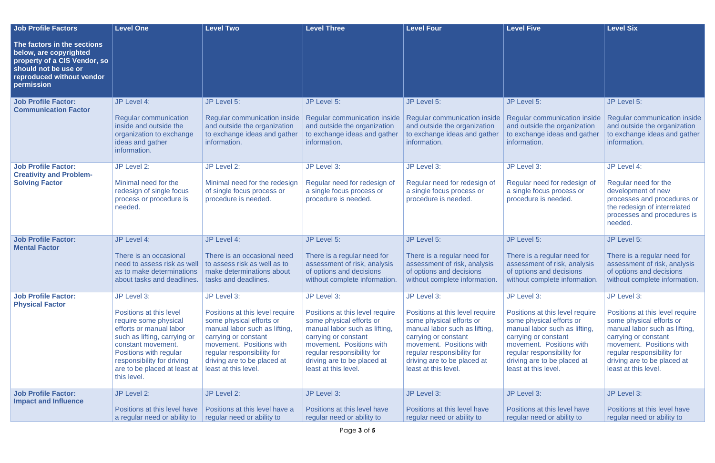| <b>Job Profile Factors</b>                                                                                                                               | <b>Level One</b>                                                                                                                                                                                                                                        | <b>Level Two</b>                                                                                                                                                                                                                                     | <b>Level Three</b>                                                                                                                                                                                                                                   | <b>Level Four</b>                                                                                                                                                                                                                                    | <b>Level Five</b>                                                                                                                                                                                                                                    | <b>Level Six</b>                                                                                                                                                                                                                                     |
|----------------------------------------------------------------------------------------------------------------------------------------------------------|---------------------------------------------------------------------------------------------------------------------------------------------------------------------------------------------------------------------------------------------------------|------------------------------------------------------------------------------------------------------------------------------------------------------------------------------------------------------------------------------------------------------|------------------------------------------------------------------------------------------------------------------------------------------------------------------------------------------------------------------------------------------------------|------------------------------------------------------------------------------------------------------------------------------------------------------------------------------------------------------------------------------------------------------|------------------------------------------------------------------------------------------------------------------------------------------------------------------------------------------------------------------------------------------------------|------------------------------------------------------------------------------------------------------------------------------------------------------------------------------------------------------------------------------------------------------|
| The factors in the sections<br>below, are copyrighted<br>property of a CIS Vendor, so<br>should not be use or<br>reproduced without vendor<br>permission |                                                                                                                                                                                                                                                         |                                                                                                                                                                                                                                                      |                                                                                                                                                                                                                                                      |                                                                                                                                                                                                                                                      |                                                                                                                                                                                                                                                      |                                                                                                                                                                                                                                                      |
| <b>Job Profile Factor:</b><br><b>Communication Factor</b>                                                                                                | JP Level 4:<br><b>Regular communication</b><br>inside and outside the<br>organization to exchange<br>ideas and gather<br>information.                                                                                                                   | JP Level 5:<br>Regular communication inside<br>and outside the organization<br>to exchange ideas and gather<br>information.                                                                                                                          | JP Level 5:<br><b>Regular communication inside</b><br>and outside the organization<br>to exchange ideas and gather<br>information.                                                                                                                   | JP Level 5:<br><b>Regular communication inside</b><br>and outside the organization<br>to exchange ideas and gather<br>information.                                                                                                                   | JP Level 5:<br><b>Regular communication inside</b><br>and outside the organization<br>to exchange ideas and gather<br>information.                                                                                                                   | JP Level 5:<br><b>Regular communication inside</b><br>and outside the organization<br>to exchange ideas and gather<br>information.                                                                                                                   |
| <b>Job Profile Factor:</b><br><b>Creativity and Problem-</b><br><b>Solving Factor</b>                                                                    | JP Level 2:<br>Minimal need for the<br>redesign of single focus<br>process or procedure is<br>needed.                                                                                                                                                   | JP Level 2:<br>Minimal need for the redesign<br>of single focus process or<br>procedure is needed.                                                                                                                                                   | JP Level 3:<br>Regular need for redesign of<br>a single focus process or<br>procedure is needed.                                                                                                                                                     | JP Level 3:<br>Regular need for redesign of<br>a single focus process or<br>procedure is needed.                                                                                                                                                     | JP Level 3:<br>Regular need for redesign of<br>a single focus process or<br>procedure is needed.                                                                                                                                                     | JP Level 4:<br>Regular need for the<br>development of new<br>processes and procedures or<br>the redesign of interrelated<br>processes and procedures is<br>needed.                                                                                   |
| <b>Job Profile Factor:</b><br><b>Mental Factor</b>                                                                                                       | JP Level 4:<br>There is an occasional<br>need to assess risk as well<br>as to make determinations<br>about tasks and deadlines.                                                                                                                         | JP Level 4:<br>There is an occasional need<br>to assess risk as well as to<br>make determinations about<br>tasks and deadlines.                                                                                                                      | JP Level 5:<br>There is a regular need for<br>assessment of risk, analysis<br>of options and decisions<br>without complete information.                                                                                                              | JP Level 5:<br>There is a regular need for<br>assessment of risk, analysis<br>of options and decisions<br>without complete information.                                                                                                              | JP Level 5:<br>There is a regular need for<br>assessment of risk, analysis<br>of options and decisions<br>without complete information                                                                                                               | JP Level 5:<br>There is a regular need for<br>assessment of risk, analysis<br>of options and decisions<br>without complete information.                                                                                                              |
| <b>Job Profile Factor:</b><br><b>Physical Factor</b>                                                                                                     | JP Level 3:<br>Positions at this level<br>require some physical<br>efforts or manual labor<br>such as lifting, carrying or<br>constant movement.<br>Positions with regular<br>responsibility for driving<br>are to be placed at least at<br>this level. | JP Level 3:<br>Positions at this level require<br>some physical efforts or<br>manual labor such as lifting,<br>carrying or constant<br>movement. Positions with<br>regular responsibility for<br>driving are to be placed at<br>least at this level. | JP Level 3:<br>Positions at this level require<br>some physical efforts or<br>manual labor such as lifting,<br>carrying or constant<br>movement. Positions with<br>regular responsibility for<br>driving are to be placed at<br>least at this level. | JP Level 3:<br>Positions at this level require<br>some physical efforts or<br>manual labor such as lifting,<br>carrying or constant<br>movement. Positions with<br>regular responsibility for<br>driving are to be placed at<br>least at this level. | JP Level 3:<br>Positions at this level require<br>some physical efforts or<br>manual labor such as lifting,<br>carrying or constant<br>movement. Positions with<br>regular responsibility for<br>driving are to be placed at<br>least at this level. | JP Level 3:<br>Positions at this level require<br>some physical efforts or<br>manual labor such as lifting,<br>carrying or constant<br>movement. Positions with<br>regular responsibility for<br>driving are to be placed at<br>least at this level. |
| <b>Job Profile Factor:</b><br><b>Impact and Influence</b>                                                                                                | JP Level 2:<br>Positions at this level have<br>a regular need or ability to                                                                                                                                                                             | JP Level 2:<br>Positions at this level have a<br>regular need or ability to                                                                                                                                                                          | JP Level 3:<br>Positions at this level have<br>regular need or ability to                                                                                                                                                                            | JP Level 3:<br>Positions at this level have<br>regular need or ability to                                                                                                                                                                            | JP Level 3:<br>Positions at this level have<br>regular need or ability to                                                                                                                                                                            | JP Level 3:<br>Positions at this level have<br>regular need or ability to                                                                                                                                                                            |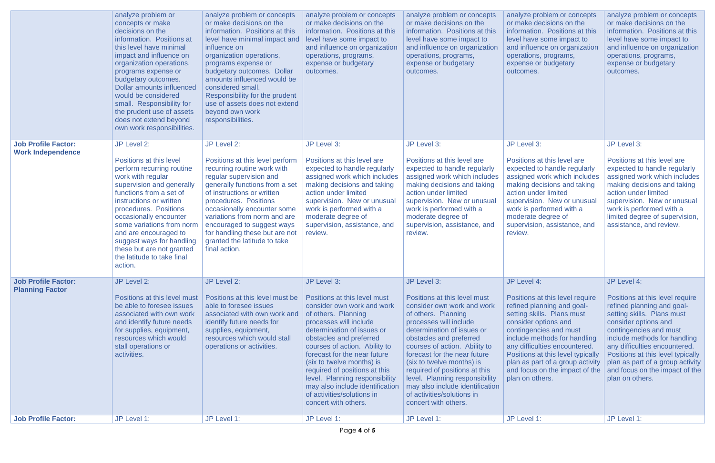|                                                                                    | analyze problem or<br>concepts or make<br>decisions on the<br>information. Positions at<br>this level have minimal<br>impact and influence on<br>organization operations,<br>programs expense or<br>budgetary outcomes.<br><b>Dollar amounts influenced</b><br>would be considered<br>small. Responsibility for<br>the prudent use of assets<br>does not extend beyond<br>own work responsibilities. | analyze problem or concepts<br>or make decisions on the<br>information. Positions at this<br>level have minimal impact and<br>influence on<br>organization operations,<br>programs expense or<br>budgetary outcomes. Dollar<br>amounts influenced would be<br>considered small.<br>Responsibility for the prudent<br>use of assets does not extend<br>beyond own work<br>responsibilities. | analyze problem or concepts<br>or make decisions on the<br>information. Positions at this<br>level have some impact to<br>and influence on organization<br>operations, programs,<br>expense or budgetary<br>outcomes.                                                                                                                                                                                                                                        | analyze problem or concepts<br>or make decisions on the<br>information. Positions at this<br>level have some impact to<br>and influence on organization<br>operations, programs,<br>expense or budgetary<br>outcomes.                                                                                                                                                                                                                                        | analyze problem or concepts<br>or make decisions on the<br>information. Positions at this<br>level have some impact to<br>and influence on organization<br>operations, programs,<br>expense or budgetary<br>outcomes.                                                                                                                                                      | analyze problem or concepts<br>or make decisions on the<br>information. Positions at this<br>level have some impact to<br>and influence on organization<br>operations, programs,<br>expense or budgetary<br>outcomes.                                                                                                                                                      |
|------------------------------------------------------------------------------------|------------------------------------------------------------------------------------------------------------------------------------------------------------------------------------------------------------------------------------------------------------------------------------------------------------------------------------------------------------------------------------------------------|--------------------------------------------------------------------------------------------------------------------------------------------------------------------------------------------------------------------------------------------------------------------------------------------------------------------------------------------------------------------------------------------|--------------------------------------------------------------------------------------------------------------------------------------------------------------------------------------------------------------------------------------------------------------------------------------------------------------------------------------------------------------------------------------------------------------------------------------------------------------|--------------------------------------------------------------------------------------------------------------------------------------------------------------------------------------------------------------------------------------------------------------------------------------------------------------------------------------------------------------------------------------------------------------------------------------------------------------|----------------------------------------------------------------------------------------------------------------------------------------------------------------------------------------------------------------------------------------------------------------------------------------------------------------------------------------------------------------------------|----------------------------------------------------------------------------------------------------------------------------------------------------------------------------------------------------------------------------------------------------------------------------------------------------------------------------------------------------------------------------|
| <b>Job Profile Factor:</b><br><b>Work Independence</b>                             | JP Level 2:<br>Positions at this level<br>perform recurring routine<br>work with regular<br>supervision and generally<br>functions from a set of<br>instructions or written<br>procedures. Positions<br>occasionally encounter<br>some variations from norm<br>and are encouraged to<br>suggest ways for handling<br>these but are not granted<br>the latitude to take final<br>action.              | JP Level 2:<br>Positions at this level perform<br>recurring routine work with<br>regular supervision and<br>generally functions from a set<br>of instructions or written<br>procedures. Positions<br>occasionally encounter some<br>variations from norm and are<br>encouraged to suggest ways<br>for handling these but are not<br>granted the latitude to take<br>final action.          | JP Level 3:<br>Positions at this level are<br>expected to handle regularly<br>assigned work which includes<br>making decisions and taking<br>action under limited<br>supervision. New or unusual<br>work is performed with a<br>moderate degree of<br>supervision, assistance, and<br>review.                                                                                                                                                                | JP Level 3:<br>Positions at this level are<br>expected to handle regularly<br>assigned work which includes<br>making decisions and taking<br>action under limited<br>supervision. New or unusual<br>work is performed with a<br>moderate degree of<br>supervision, assistance, and<br>review.                                                                                                                                                                | JP Level 3:<br>Positions at this level are<br>expected to handle regularly<br>assigned work which includes<br>making decisions and taking<br>action under limited<br>supervision. New or unusual<br>work is performed with a<br>moderate degree of<br>supervision, assistance, and<br>review.                                                                              | JP Level 3:<br>Positions at this level are<br>expected to handle regularly<br>assigned work which includes<br>making decisions and taking<br>action under limited<br>supervision. New or unusual<br>work is performed with a<br>limited degree of supervision,<br>assistance, and review.                                                                                  |
| <b>Job Profile Factor:</b><br><b>Planning Factor</b><br><b>Job Profile Factor:</b> | JP Level 2:<br>Positions at this level must<br>be able to foresee issues<br>associated with own work<br>and identify future needs<br>for supplies, equipment,<br>resources which would<br>stall operations or<br>activities.<br>JP Level 1:                                                                                                                                                          | JP Level 2:<br>Positions at this level must be<br>able to foresee issues<br>associated with own work and<br>identify future needs for<br>supplies, equipment,<br>resources which would stall<br>operations or activities.<br>JP Level 1:                                                                                                                                                   | JP Level 3:<br>Positions at this level must<br>consider own work and work<br>of others. Planning<br>processes will include<br>determination of issues or<br>obstacles and preferred<br>courses of action. Ability to<br>forecast for the near future<br>(six to twelve months) is<br>required of positions at this<br>level. Planning responsibility<br>may also include identification<br>of activities/solutions in<br>concert with others.<br>JP Level 1: | JP Level 3:<br>Positions at this level must<br>consider own work and work<br>of others. Planning<br>processes will include<br>determination of issues or<br>obstacles and preferred<br>courses of action. Ability to<br>forecast for the near future<br>(six to twelve months) is<br>required of positions at this<br>level. Planning responsibility<br>may also include identification<br>of activities/solutions in<br>concert with others.<br>JP Level 1: | JP Level 4:<br>Positions at this level require<br>refined planning and goal-<br>setting skills. Plans must<br>consider options and<br>contingencies and must<br>include methods for handling<br>any difficulties encountered.<br>Positions at this level typically<br>plan as part of a group activity<br>and focus on the impact of the<br>plan on others.<br>JP Level 1: | JP Level 4:<br>Positions at this level require<br>refined planning and goal-<br>setting skills. Plans must<br>consider options and<br>contingencies and must<br>include methods for handling<br>any difficulties encountered.<br>Positions at this level typically<br>plan as part of a group activity<br>and focus on the impact of the<br>plan on others.<br>JP Level 1: |